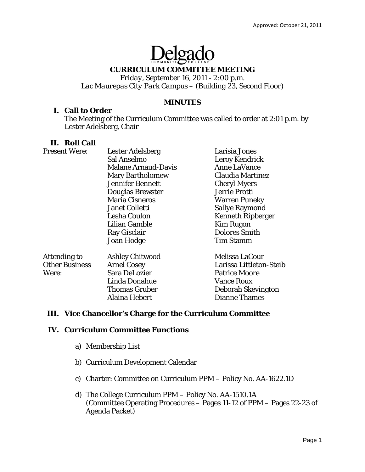# Delgade

## **CURRICULUM COMMITTEE MEETING**

*Friday, September 16, 2011 - 2:00 p.m. Lac Maurepas City Park Campus – (Building 23, Second Floor)* 

## **MINUTES**

## **I. Call to Order**

The Meeting of the Curriculum Committee was called to order at 2:01 p.m. by Lester Adelsberg, Chair

## **II. Roll Call**

| <b>Present Were:</b>  | <b>Lester Adelsberg</b>    | Larisia Jones            |
|-----------------------|----------------------------|--------------------------|
|                       | Sal Anselmo                | <b>Leroy Kendrick</b>    |
|                       | <b>Malane Arnaud-Davis</b> | <b>Anne LaVance</b>      |
|                       | <b>Mary Bartholomew</b>    | Claudia Martinez         |
|                       | <b>Jennifer Bennett</b>    | <b>Cheryl Myers</b>      |
|                       | <b>Douglas Brewster</b>    | Jerrie Protti            |
|                       | <b>Maria Cisneros</b>      | <b>Warren Puneky</b>     |
|                       | <b>Janet Colletti</b>      | <b>Sallye Raymond</b>    |
|                       | Lesha Coulon               | <b>Kenneth Ripberger</b> |
|                       | Lilian Gamble              | <b>Kim Rugon</b>         |
|                       | Ray Gisclair               | <b>Dolores Smith</b>     |
|                       | Joan Hodge                 | <b>Tim Stamm</b>         |
| Attending to          | <b>Ashley Chitwood</b>     | Melissa LaCour           |
| <b>Other Business</b> | <b>Arnel Cosey</b>         | Larissa Littleton-Steib  |
| Were:                 | Sara DeLozier              | <b>Patrice Moore</b>     |
|                       | Linda Donahue              | <b>Vance Roux</b>        |
|                       | <b>Thomas Gruber</b>       | Deborah Skevington       |
|                       | Alaina Hebert              | <b>Dianne Thames</b>     |

## **III. Vice Chancellor's Charge for the Curriculum Committee**

## **IV. Curriculum Committee Functions**

- a) Membership List
- b) Curriculum Development Calendar
- c) Charter: Committee on Curriculum PPM Policy No. AA-1622.1D
- d) The College Curriculum PPM Policy No. AA-1510.1A (Committee Operating Procedures  $-\overline{P}$ ages 11-12 of PPM – Pages 22-23 of Agenda Packet)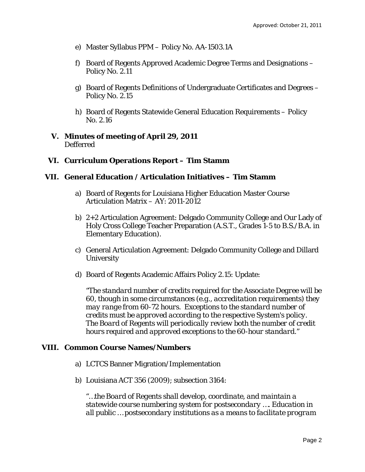- e) Master Syllabus PPM Policy No. AA-1503.1A
- f) Board of Regents Approved Academic Degree Terms and Designations Policy No. 2.11
- g) Board of Regents Definitions of Undergraduate Certificates and Degrees Policy No. 2.15
- h) Board of Regents Statewide General Education Requirements Policy No. 2.16
- **V. Minutes of meeting of April 29, 2011** Defferred

## **VI. Curriculum Operations Report – Tim Stamm**

## **VII. General Education / Articulation Initiatives – Tim Stamm**

- a) Board of Regents for Louisiana Higher Education Master Course Articulation Matrix – AY: 2011-2012
- b) 2+2 Articulation Agreement: Delgado Community College and Our Lady of Holy Cross College Teacher Preparation (A.S.T., Grades 1-5 to B.S./B.A. in Elementary Education).
- c) General Articulation Agreement: Delgado Community College and Dillard **University**
- d) Board of Regents Academic Affairs Policy 2.15: Update:

*"The standard number of credits required for the Associate Degree will be 60, though in some circumstances (e.g., accreditation requirements) they may range from 60-72 hours. Exceptions to the standard number of credits must be approved according to the respective System's policy. The Board of Regents will periodically review both the number of credit hours required and approved exceptions to the 60-hour standard."*

#### **VIII. Common Course Names/Numbers**

- a) LCTCS Banner Migration/Implementation
- b) Louisiana ACT 356 (2009); subsection 3164:

*"…the Board of Regents shall develop, coordinate, and maintain a statewide course numbering system for postsecondary …. Education in all public … postsecondary institutions as a means to facilitate program*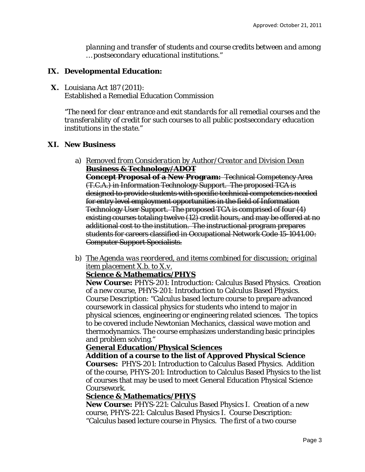*planning and transfer of students and course credits between and among … postsecondary educational institutions."* 

## **IX. Developmental Education:**

**X.** Louisiana Act 187 (2011): Established a Remedial Education Commission

*"The need for clear entrance and exit standards for all remedial courses and the transferability of credit for such courses to all public postsecondary education institutions in the state."*

## **XI. New Business**

- a) *Removed from Consideration by Author/Creator and Division Dean* **Business & Technology/ADOT Concept Proposal of a New Program:** Technical Competency Area (T.C.A.) in Information Technology Support. The proposed TCA is designed to provide students with specific technical competencies needed for entry level employment opportunities in the field of Information Technology User Support. The proposed TCA is comprised of four (4) existing courses totaling twelve (12) credit hours, and may be offered at no additional cost to the institution. The instructional program prepares students for careers classified in Occupational Network Code 15-1041.00: Computer Support Specialists.
- b) *The Agenda was reordered, and items combined for discussion; original item placement X.b. to X.v.*

## **Science & Mathematics/PHYS**

**New Course:** PHYS-201: Introduction: Calculus Based Physics. Creation of a new course, PHYS-201: Introduction to Calculus Based Physics. Course Description: "Calculus based lecture course to prepare advanced coursework in classical physics for students who intend to major in physical sciences, engineering or engineering related sciences. The topics to be covered include Newtonian Mechanics, classical wave motion and thermodynamics. The course emphasizes understanding basic principles and problem solving."

## **General Education/Physical Sciences**

**Addition of a course to the list of Approved Physical Science Courses:** PHYS-201: Introduction to Calculus Based Physics. Addition of the course, PHYS-201: Introduction to Calculus Based Physics to the list of courses that may be used to meet General Education Physical Science Coursework.

## **Science & Mathematics/PHYS**

**New Course:** PHYS-221: Calculus Based Physics I. Creation of a new course, PHYS-221: Calculus Based Physics I. Course Description: "Calculus based lecture course in Physics. The first of a two course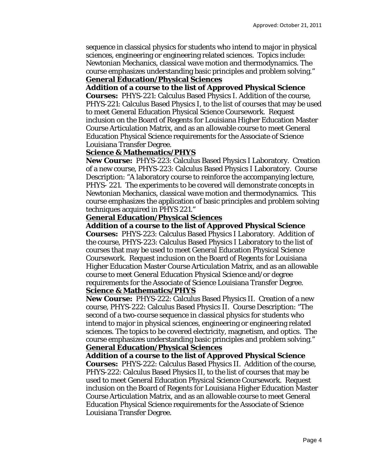sequence in classical physics for students who intend to major in physical sciences, engineering or engineering related sciences. Topics include: Newtonian Mechanics, classical wave motion and thermodynamics. The course emphasizes understanding basic principles and problem solving." **General Education/Physical Sciences** 

#### **Addition of a course to the list of Approved Physical Science**

**Courses:** PHYS-221: Calculus Based Physics I. Addition of the course, PHYS-221: Calculus Based Physics I, to the list of courses that may be used to meet General Education Physical Science Coursework. Request inclusion on the Board of Regents for Louisiana Higher Education Master Course Articulation Matrix, and as an allowable course to meet General Education Physical Science requirements for the Associate of Science Louisiana Transfer Degree.

#### **Science & Mathematics/PHYS**

**New Course:** PHYS-223: Calculus Based Physics I Laboratory. Creation of a new course, PHYS-223: Calculus Based Physics I Laboratory. Course Description: "A laboratory course to reinforce the accompanying lecture, PHYS- 221. The experiments to be covered will demonstrate concepts in Newtonian Mechanics, classical wave motion and thermodynamics. This course emphasizes the application of basic principles and problem solving techniques acquired in PHYS 221."

#### **General Education/Physical Sciences**

**Addition of a course to the list of Approved Physical Science Courses:** PHYS-223: Calculus Based Physics I Laboratory. Addition of the course, PHYS-223: Calculus Based Physics I Laboratory to the list of courses that may be used to meet General Education Physical Science Coursework. Request inclusion on the Board of Regents for Louisiana Higher Education Master Course Articulation Matrix, and as an allowable course to meet General Education Physical Science and/or degree requirements for the Associate of Science Louisiana Transfer Degree.

#### **Science & Mathematics/PHYS**

**New Course:** PHYS-222: Calculus Based Physics II. Creation of a new course, PHYS-222: Calculus Based Physics II. Course Description: "The second of a two-course sequence in classical physics for students who intend to major in physical sciences, engineering or engineering related sciences. The topics to be covered electricity, magnetism, and optics. The course emphasizes understanding basic principles and problem solving."

#### **General Education/Physical Sciences**

**Addition of a course to the list of Approved Physical Science Courses:** PHYS-222: Calculus Based Physics II. Addition of the course, PHYS-222: Calculus Based Physics II, to the list of courses that may be used to meet General Education Physical Science Coursework. Request inclusion on the Board of Regents for Louisiana Higher Education Master Course Articulation Matrix, and as an allowable course to meet General Education Physical Science requirements for the Associate of Science Louisiana Transfer Degree.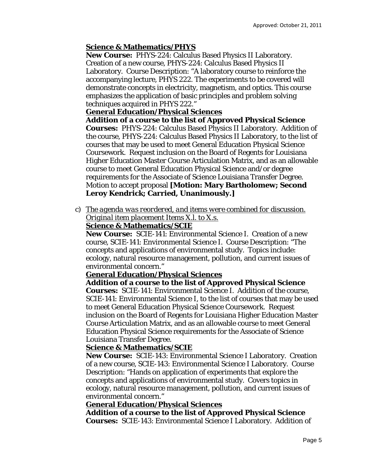## **Science & Mathematics/PHYS**

**New Course:** PHYS-224: Calculus Based Physics II Laboratory. Creation of a new course, PHYS-224: Calculus Based Physics II Laboratory. Course Description: "A laboratory course to reinforce the accompanying lecture, PHYS 222. The experiments to be covered will demonstrate concepts in electricity, magnetism, and optics. This course emphasizes the application of basic principles and problem solving techniques acquired in PHYS 222."

## **General Education/Physical Sciences**

**Addition of a course to the list of Approved Physical Science Courses:** PHYS-224: Calculus Based Physics II Laboratory. Addition of the course, PHYS-224: Calculus Based Physics II Laboratory, to the list of courses that may be used to meet General Education Physical Science Coursework. Request inclusion on the Board of Regents for Louisiana Higher Education Master Course Articulation Matrix, and as an allowable course to meet General Education Physical Science and/or degree requirements for the Associate of Science Louisiana Transfer Degree. Motion to accept proposal **[Motion: Mary Bartholomew; Second Leroy Kendrick; Carried, Unanimously.]** 

c) *The agenda was reordered, and items were combined for discussion. Original item placement Items X.l. to X.s.* 

## **Science & Mathematics/SCIE**

**New Course:** SCIE-141: Environmental Science I. Creation of a new course, SCIE-141: Environmental Science I. Course Description: "The concepts and applications of environmental study. Topics include: ecology, natural resource management, pollution, and current issues of environmental concern."

## **General Education/Physical Sciences**

**Addition of a course to the list of Approved Physical Science Courses:** SCIE-141: Environmental Science I. Addition of the course, SCIE-141: Environmental Science I, to the list of courses that may be used to meet General Education Physical Science Coursework. Request inclusion on the Board of Regents for Louisiana Higher Education Master Course Articulation Matrix, and as an allowable course to meet General Education Physical Science requirements for the Associate of Science Louisiana Transfer Degree.

## **Science & Mathematics/SCIE**

**New Course:** SCIE-143: Environmental Science I Laboratory. Creation of a new course, SCIE-143: Environmental Science I Laboratory. Course Description: "Hands on application of experiments that explore the concepts and applications of environmental study. Covers topics in ecology, natural resource management, pollution, and current issues of environmental concern."

## **General Education/Physical Sciences**

**Addition of a course to the list of Approved Physical Science Courses:** SCIE-143: Environmental Science I Laboratory. Addition of